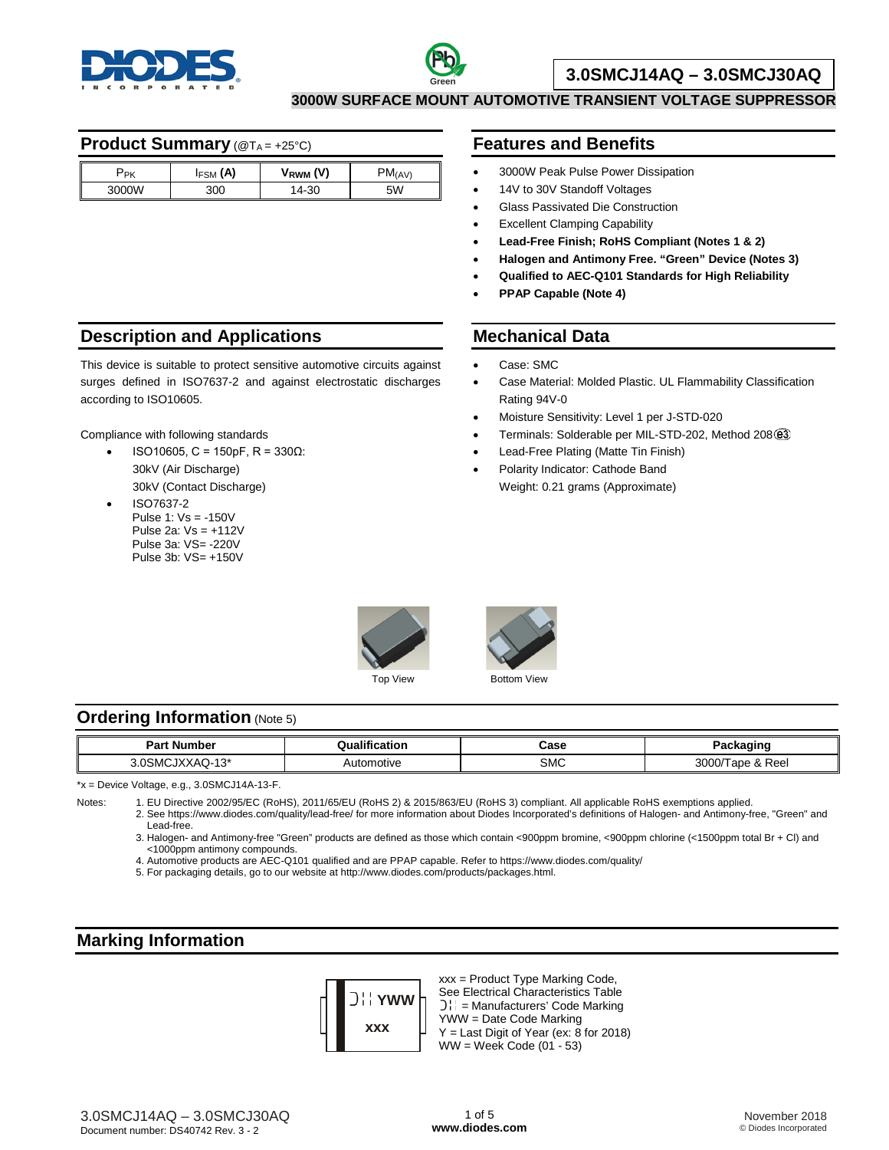



# **3.0SMCJ14AQ – 3.0SMCJ30AQ**

**3000W SURFACE MOUNT AUTOMOTIVE TRANSIENT VOLTAGE SUPPRESSOR**

## **Product Summary** (@TA = +25°C)

| ΄PΚ   | (A)<br><b>FSM</b> | (V)<br>V <sub>RWM</sub> | $PM_{(AV)}$ |
|-------|-------------------|-------------------------|-------------|
| 3000W | 300               | 14-30                   | 5W          |

#### **Description and Applications**

This device is suitable to protect sensitive automotive circuits against surges defined in ISO7637-2 and against electrostatic discharges according to ISO10605.

Compliance with following standards

- ISO10605, C = 150pF, R = 330Ω: 30kV (Air Discharge) 30kV (Contact Discharge)
- ISO7637-2 Pulse 1: Vs = -150V Pulse 2a: Vs = +112V Pulse 3a: VS= -220V Pulse 3b: VS= +150V

## **Features and Benefits**

- 3000W Peak Pulse Power Dissipation
- 14V to 30V Standoff Voltages
- Glass Passivated Die Construction
- **Excellent Clamping Capability**
- **Lead-Free Finish; RoHS Compliant (Notes 1 & 2)**
- **Halogen and Antimony Free. "Green" Device (Notes 3)**
- **Qualified to AEC-Q101 Standards for High Reliability**
- **PPAP Capable (Note 4)**

## **Mechanical Data**

- Case: SMC
- Case Material: Molded Plastic. UL Flammability Classification Rating 94V-0
- Moisture Sensitivity: Level 1 per J-STD-020
- Terminals: Solderable per MIL-STD-202, Method 208@3
- Lead-Free Plating (Matte Tin Finish)
- Polarity Indicator: Cathode Band
- Weight: 0.21 grams (Approximate)



# **Ordering Information (Note 5)**

| Jumhar<br>Da<br>а<br>ıмс                   |                  | Case<br>- - - - | :kaɑinɑ                        |
|--------------------------------------------|------------------|-----------------|--------------------------------|
| $\overline{A}$<br>nc.<br>`SM.<br>∧∧AQ - ۱و | omotive<br>Autol | SMC             | 0.002<br>$D_{\Omega}$<br>LA AR |

\*x = Device Voltage, e.g., 3.0SMCJ14A-13-F.

Notes: 1. EU Directive 2002/95/EC (RoHS), 2011/65/EU (RoHS 2) & 2015/863/EU (RoHS 3) compliant. All applicable RoHS exemptions applied.

2. See [https://www.diodes.com/quality/lead-free/ fo](https://www.diodes.com/quality/lead-free/)r more information about Diodes Incorporated's definitions of Halogen- and Antimony-free, "Green" and Lead-free.

3. Halogen- and Antimony-free "Green" products are defined as those which contain <900ppm bromine, <900ppm chlorine (<1500ppm total Br + Cl) and <1000ppm antimony compounds.

4. Automotive products are AEC-Q101 qualified and are PPAP capable. Refer to <https://www.diodes.com/quality/>

5. For packaging details, go to our website at [http://www.diodes.com/products/packages.html.](http://www.diodes.com/products/packages.html)

# **Marking Information**



xxx = Product Type Marking Code, See Electrical Characteristics Table  $]$  $]$  = Manufacturers' Code Marking YWW = Date Code Marking Y = Last Digit of Year (ex: 8 for 2018)  $WW = Week Code (01 - 53)$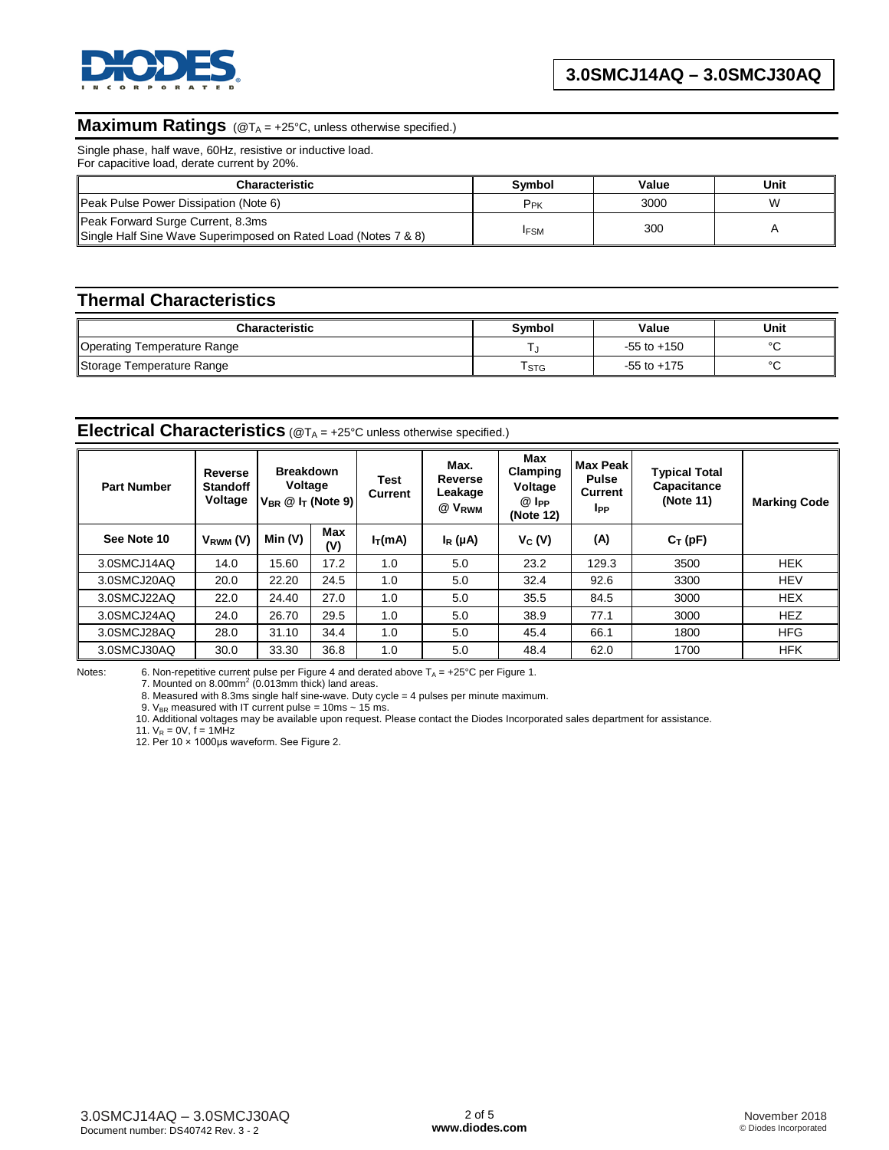

# **Maximum Ratings** (@TA = +25°C, unless otherwise specified.)

Single phase, half wave, 60Hz, resistive or inductive load. For capacitive load, derate current by 20%.

| <b>Characteristic</b>                                                                               | Symbol          | Value | Unit |
|-----------------------------------------------------------------------------------------------------|-----------------|-------|------|
| Peak Pulse Power Dissipation (Note 6)                                                               | P <sub>PK</sub> | 3000  | W    |
| Peak Forward Surge Current, 8.3ms<br>Single Half Sine Wave Superimposed on Rated Load (Notes 7 & 8) | <b>IFSM</b>     | 300   |      |

#### **Thermal Characteristics**

| <b>Characteristic</b>       | <b>Symbol</b> | Value           | Unit    |  |
|-----------------------------|---------------|-----------------|---------|--|
| Operating Temperature Range |               | $-55$ to $+150$ | $\circ$ |  |
| Storage Temperature Range   | l STG         | $-55$ to $+175$ | $\circ$ |  |

#### **Electrical Characteristics** (@T<sub>A</sub> = +25°C unless otherwise specified.)

| <b>Part Number</b> | Reverse<br><b>Standoff</b><br>Voltage | <b>Breakdown</b><br>Voltage<br>$V_{BR} \n\circledR$ I <sub>T</sub> (Note 9) |            | Test<br>Current | Max.<br>Reverse<br>Leakage<br>@ V <sub>RWM</sub> | Max<br>Clamping<br>Voltage<br>@ I <sub>PP</sub><br>(Note 12) | <b>Max Peak</b><br><b>Pulse</b><br>Current<br><b>I</b> PP | <b>Typical Total</b><br>Capacitance<br>(Note 11) | <b>Marking Code</b> |
|--------------------|---------------------------------------|-----------------------------------------------------------------------------|------------|-----------------|--------------------------------------------------|--------------------------------------------------------------|-----------------------------------------------------------|--------------------------------------------------|---------------------|
| See Note 10        | V <sub>RWM</sub> (V)                  | Min (V)                                                                     | Max<br>(V) | $I_T(mA)$       | $I_R(\mu A)$                                     | $V_C(V)$                                                     | (A)                                                       | $C_T(pF)$                                        |                     |
| 3.0SMCJ14AQ        | 14.0                                  | 15.60                                                                       | 17.2       | 1.0             | 5.0                                              | 23.2                                                         | 129.3                                                     | 3500                                             | <b>HEK</b>          |
| 3.0SMCJ20AQ        | 20.0                                  | 22.20                                                                       | 24.5       | 1.0             | 5.0                                              | 32.4                                                         | 92.6                                                      | 3300                                             | <b>HEV</b>          |
| 3.0SMCJ22AQ        | 22.0                                  | 24.40                                                                       | 27.0       | 1.0             | 5.0                                              | 35.5                                                         | 84.5                                                      | 3000                                             | <b>HEX</b>          |
| 3.0SMCJ24AQ        | 24.0                                  | 26.70                                                                       | 29.5       | 1.0             | 5.0                                              | 38.9                                                         | 77.1                                                      | 3000                                             | <b>HEZ</b>          |
| 3.0SMCJ28AQ        | 28.0                                  | 31.10                                                                       | 34.4       | 1.0             | 5.0                                              | 45.4                                                         | 66.1                                                      | 1800                                             | <b>HFG</b>          |
| 3.0SMCJ30AQ        | 30.0                                  | 33.30                                                                       | 36.8       | 1.0             | 5.0                                              | 48.4                                                         | 62.0                                                      | 1700                                             | <b>HFK</b>          |

Notes: 6. Non-repetitive current pulse per Figure 4 and derated above  $T_A = +25^\circ \text{C}$  per Figure 1. 7. Mounted on 8.00mm<sup>2</sup> (0.013mm thick) land areas.

8. Measured with 8.3ms single half sine-wave. Duty cycle = 4 pulses per minute maximum.

9.  $V_{BR}$  measured with IT current pulse = 10ms  $\sim$  15 ms.

10. Additional voltages may be available upon request. Please contact the Diodes Incorporated sales department for assistance.

11.  $V_R = 0V$ ,  $f = 1M\overline{H}z$ 

12. Per 10 × 1000μs waveform. See Figure 2.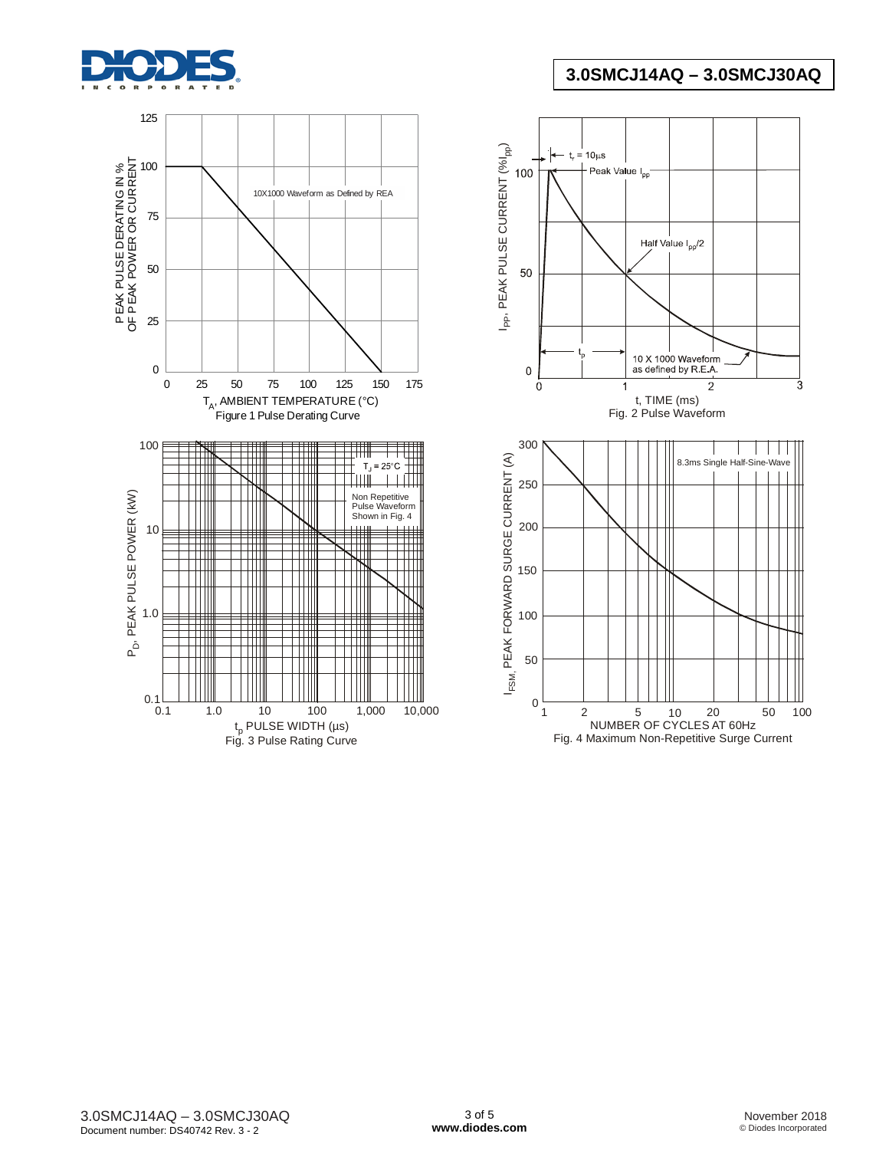



**3.0SMCJ14AQ – 3.0SMCJ30AQ**

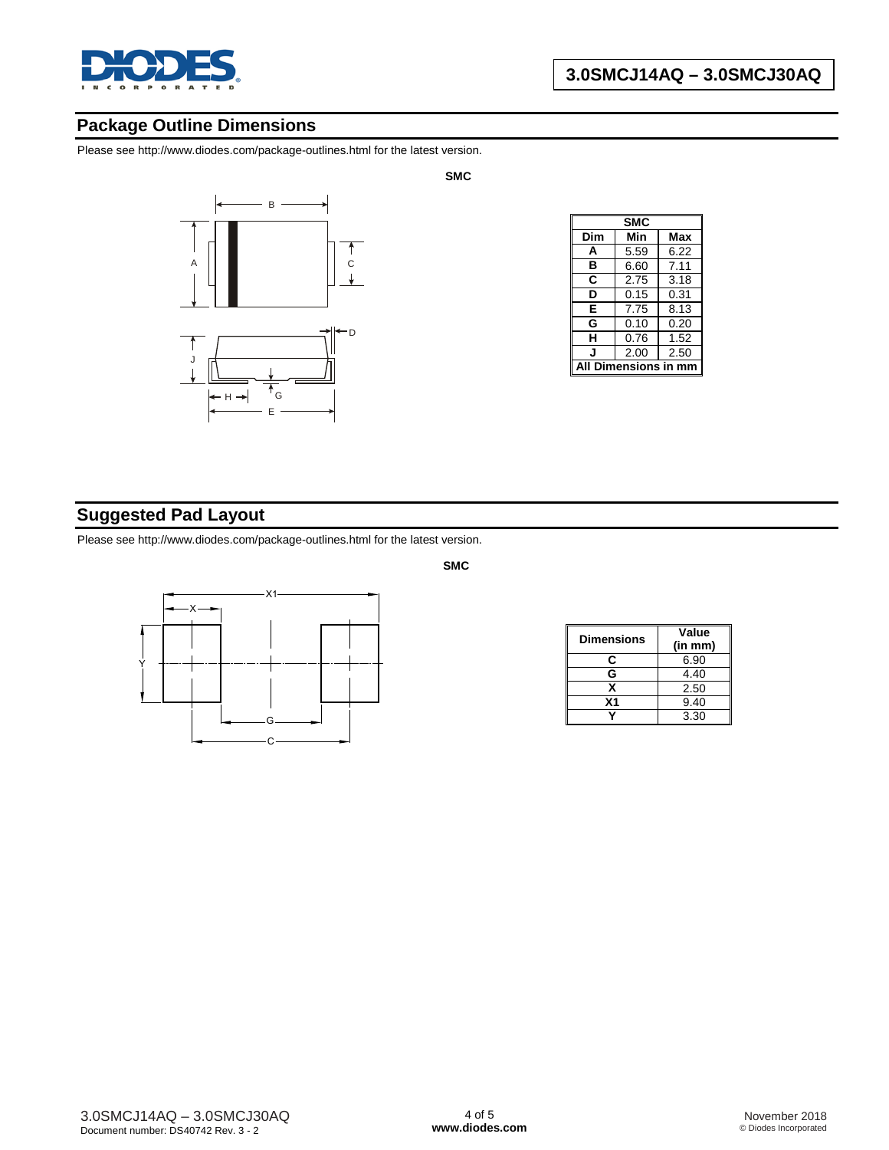

# **Package Outline Dimensions**

Please see [http://www.diodes.com/package-outlines.html fo](http://www.diodes.com/package-outlines.html)r the latest version.



| SMC           |      |      |  |  |
|---------------|------|------|--|--|
| Dim           | Min  | Max  |  |  |
| A             | 5.59 | 6.22 |  |  |
| в             | 6.60 | 7.11 |  |  |
| C             | 2.75 | 3.18 |  |  |
| D             | 0.15 | 0.31 |  |  |
| E             | 7.75 | 8.13 |  |  |
| G             | 0.10 | 0.20 |  |  |
| н             | 0.76 | 1.52 |  |  |
|               | 2.00 | 2.50 |  |  |
| Dimensions in |      |      |  |  |

# **Suggested Pad Layout**

Please see [http://www.diodes.com/package-outlines.html fo](http://www.diodes.com/package-outlines.html)r the latest version.



| <b>Dimensions</b> | Value<br>(in mm) |
|-------------------|------------------|
| c                 | 6.90             |
| G                 | 4.40             |
| x                 | 2.50             |
| Χ1                | 9.40             |
|                   | 3.30             |

**SMC**

**SMC**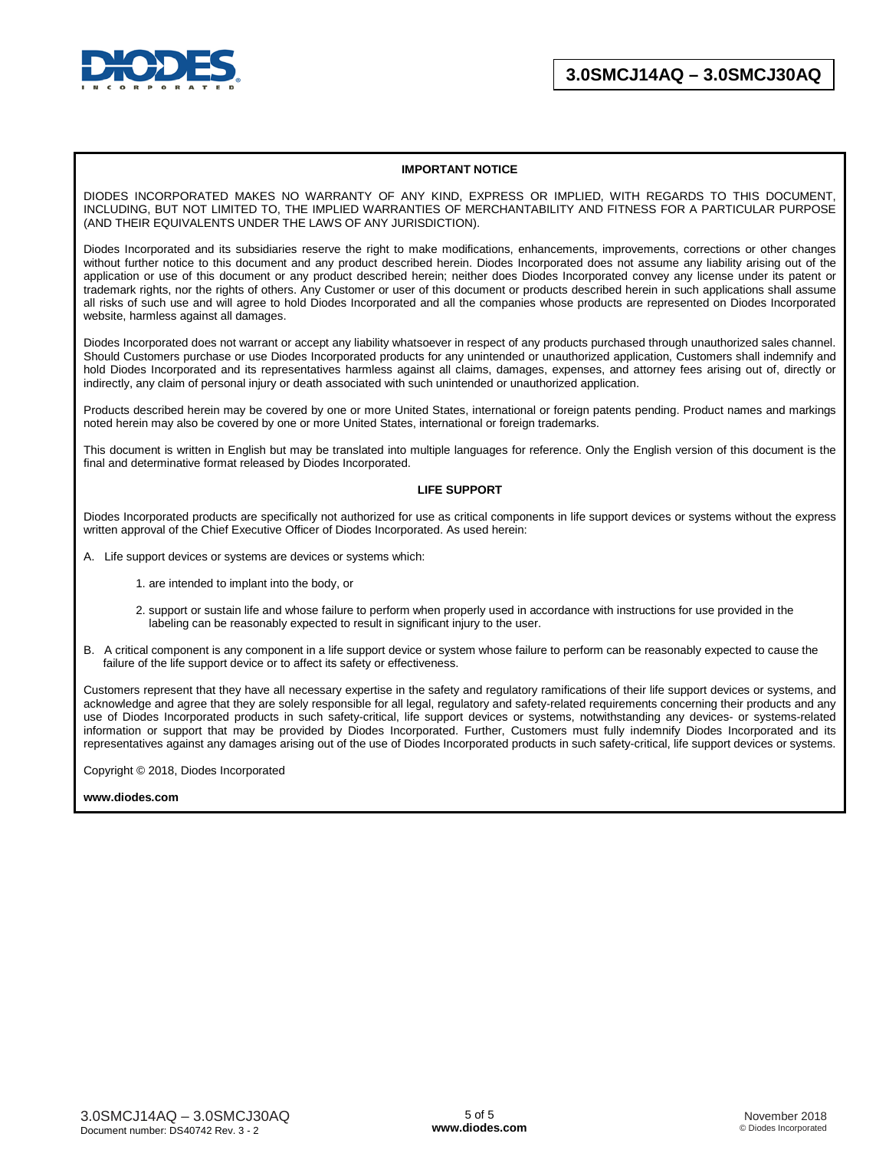

#### **IMPORTANT NOTICE**

DIODES INCORPORATED MAKES NO WARRANTY OF ANY KIND, EXPRESS OR IMPLIED, WITH REGARDS TO THIS DOCUMENT, INCLUDING, BUT NOT LIMITED TO, THE IMPLIED WARRANTIES OF MERCHANTABILITY AND FITNESS FOR A PARTICULAR PURPOSE (AND THEIR EQUIVALENTS UNDER THE LAWS OF ANY JURISDICTION).

Diodes Incorporated and its subsidiaries reserve the right to make modifications, enhancements, improvements, corrections or other changes without further notice to this document and any product described herein. Diodes Incorporated does not assume any liability arising out of the application or use of this document or any product described herein; neither does Diodes Incorporated convey any license under its patent or trademark rights, nor the rights of others. Any Customer or user of this document or products described herein in such applications shall assume all risks of such use and will agree to hold Diodes Incorporated and all the companies whose products are represented on Diodes Incorporated website, harmless against all damages.

Diodes Incorporated does not warrant or accept any liability whatsoever in respect of any products purchased through unauthorized sales channel. Should Customers purchase or use Diodes Incorporated products for any unintended or unauthorized application, Customers shall indemnify and hold Diodes Incorporated and its representatives harmless against all claims, damages, expenses, and attorney fees arising out of, directly or indirectly, any claim of personal injury or death associated with such unintended or unauthorized application.

Products described herein may be covered by one or more United States, international or foreign patents pending. Product names and markings noted herein may also be covered by one or more United States, international or foreign trademarks.

This document is written in English but may be translated into multiple languages for reference. Only the English version of this document is the final and determinative format released by Diodes Incorporated.

#### **LIFE SUPPORT**

Diodes Incorporated products are specifically not authorized for use as critical components in life support devices or systems without the express written approval of the Chief Executive Officer of Diodes Incorporated. As used herein:

A. Life support devices or systems are devices or systems which:

- 1. are intended to implant into the body, or
- 2. support or sustain life and whose failure to perform when properly used in accordance with instructions for use provided in the labeling can be reasonably expected to result in significant injury to the user.
- B. A critical component is any component in a life support device or system whose failure to perform can be reasonably expected to cause the failure of the life support device or to affect its safety or effectiveness.

Customers represent that they have all necessary expertise in the safety and regulatory ramifications of their life support devices or systems, and acknowledge and agree that they are solely responsible for all legal, regulatory and safety-related requirements concerning their products and any use of Diodes Incorporated products in such safety-critical, life support devices or systems, notwithstanding any devices- or systems-related information or support that may be provided by Diodes Incorporated. Further, Customers must fully indemnify Diodes Incorporated and its representatives against any damages arising out of the use of Diodes Incorporated products in such safety-critical, life support devices or systems.

Copyright © 2018, Diodes Incorporated

#### **[www.diodes.com](http://www.diodes.com)**